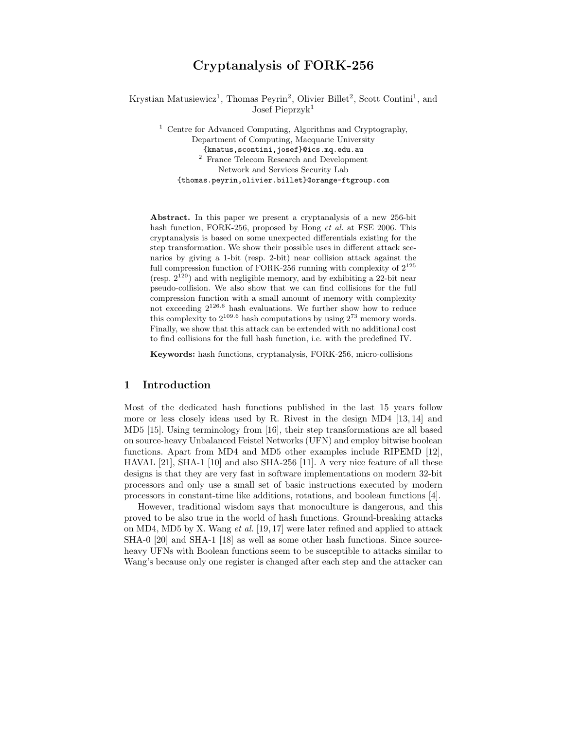# Cryptanalysis of FORK-256

Krystian Matusiewicz<sup>1</sup>, Thomas Peyrin<sup>2</sup>, Olivier Billet<sup>2</sup>, Scott Contini<sup>1</sup>, and Josef Pieprzyk<sup>1</sup>

<sup>1</sup> Centre for Advanced Computing, Algorithms and Cryptography, Department of Computing, Macquarie University {kmatus,scontini,josef}@ics.mq.edu.au <sup>2</sup> France Telecom Research and Development Network and Services Security Lab {thomas.peyrin,olivier.billet}@orange-ftgroup.com

Abstract. In this paper we present a cryptanalysis of a new 256-bit hash function, FORK-256, proposed by Hong et al. at FSE 2006. This cryptanalysis is based on some unexpected differentials existing for the step transformation. We show their possible uses in different attack scenarios by giving a 1-bit (resp. 2-bit) near collision attack against the full compression function of FORK-256 running with complexity of  $2^{125}$ (resp.  $2^{120}$ ) and with negligible memory, and by exhibiting a 22-bit near pseudo-collision. We also show that we can find collisions for the full compression function with a small amount of memory with complexity not exceeding 2<sup>126</sup>.<sup>6</sup> hash evaluations. We further show how to reduce this complexity to  $2^{109.6}$  hash computations by using  $2^{73}$  memory words. Finally, we show that this attack can be extended with no additional cost to find collisions for the full hash function, i.e. with the predefined IV.

Keywords: hash functions, cryptanalysis, FORK-256, micro-collisions

# 1 Introduction

Most of the dedicated hash functions published in the last 15 years follow more or less closely ideas used by R. Rivest in the design MD4 [13, 14] and MD5 [15]. Using terminology from [16], their step transformations are all based on source-heavy Unbalanced Feistel Networks (UFN) and employ bitwise boolean functions. Apart from MD4 and MD5 other examples include RIPEMD [12], HAVAL [21], SHA-1 [10] and also SHA-256 [11]. A very nice feature of all these designs is that they are very fast in software implementations on modern 32-bit processors and only use a small set of basic instructions executed by modern processors in constant-time like additions, rotations, and boolean functions [4].

However, traditional wisdom says that monoculture is dangerous, and this proved to be also true in the world of hash functions. Ground-breaking attacks on MD4, MD5 by X. Wang et al. [19, 17] were later refined and applied to attack SHA-0 [20] and SHA-1 [18] as well as some other hash functions. Since sourceheavy UFNs with Boolean functions seem to be susceptible to attacks similar to Wang's because only one register is changed after each step and the attacker can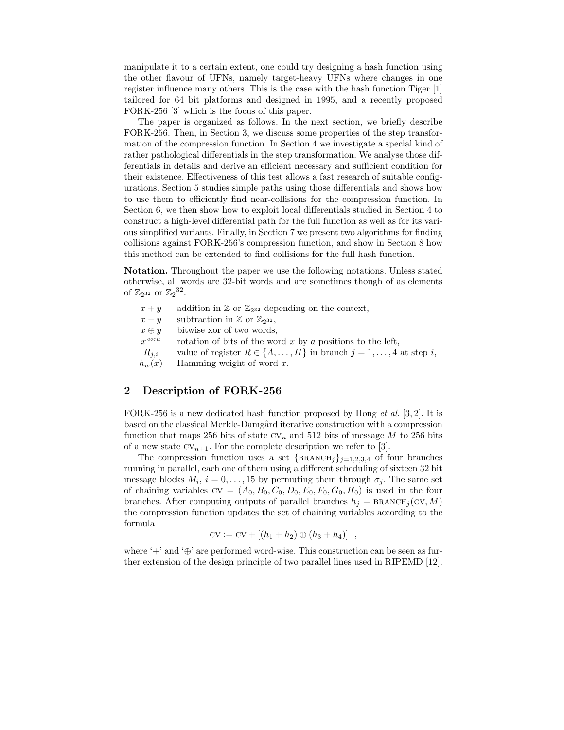manipulate it to a certain extent, one could try designing a hash function using the other flavour of UFNs, namely target-heavy UFNs where changes in one register influence many others. This is the case with the hash function Tiger [1] tailored for 64 bit platforms and designed in 1995, and a recently proposed FORK-256 [3] which is the focus of this paper.

The paper is organized as follows. In the next section, we briefly describe FORK-256. Then, in Section 3, we discuss some properties of the step transformation of the compression function. In Section 4 we investigate a special kind of rather pathological differentials in the step transformation. We analyse those differentials in details and derive an efficient necessary and sufficient condition for their existence. Effectiveness of this test allows a fast research of suitable configurations. Section 5 studies simple paths using those differentials and shows how to use them to efficiently find near-collisions for the compression function. In Section 6, we then show how to exploit local differentials studied in Section 4 to construct a high-level differential path for the full function as well as for its various simplified variants. Finally, in Section 7 we present two algorithms for finding collisions against FORK-256's compression function, and show in Section 8 how this method can be extended to find collisions for the full hash function.

Notation. Throughout the paper we use the following notations. Unless stated otherwise, all words are 32-bit words and are sometimes though of as elements of  $\mathbb{Z}_{2^{32}}$  or  $\mathbb{Z}_{2}^{32}$ .

| $x + y$      | addition in $\mathbb{Z}$ or $\mathbb{Z}_{2^{32}}$ depending on the context,        |
|--------------|------------------------------------------------------------------------------------|
| $x - y$      | subtraction in $\mathbb{Z}$ or $\mathbb{Z}_{2^{32}}$ ,                             |
| $x \oplus y$ | bitwise xor of two words,                                                          |
| $x^{\lll a}$ | rotation of bits of the word $x$ by $a$ positions to the left,                     |
| $R_{i,i}$    | value of register $R \in \{A, \ldots, H\}$ in branch $j = 1, \ldots, 4$ at step i, |
| $h_w(x)$     | Hamming weight of word $x$ .                                                       |

# 2 Description of FORK-256

FORK-256 is a new dedicated hash function proposed by Hong *et al.* [3, 2]. It is based on the classical Merkle-Damgård iterative construction with a compression function that maps 256 bits of state  $CV_n$  and 512 bits of message M to 256 bits of a new state  $CV_{n+1}$ . For the complete description we refer to [3].

The compression function uses a set  ${BRANCH<sub>j</sub>}_{j=1,2,3,4}$  of four branches running in parallel, each one of them using a different scheduling of sixteen 32 bit message blocks  $M_i$ ,  $i = 0, \ldots, 15$  by permuting them through  $\sigma_j$ . The same set of chaining variables  $CV = (A_0, B_0, C_0, D_0, E_0, F_0, G_0, H_0)$  is used in the four branches. After computing outputs of parallel branches  $h_j = BRANCH_j(CV, M)$ the compression function updates the set of chaining variables according to the formula

$$
cv := cv + [(h_1 + h_2) \oplus (h_3 + h_4)] ,
$$

where '+' and '⊕' are performed word-wise. This construction can be seen as further extension of the design principle of two parallel lines used in RIPEMD [12].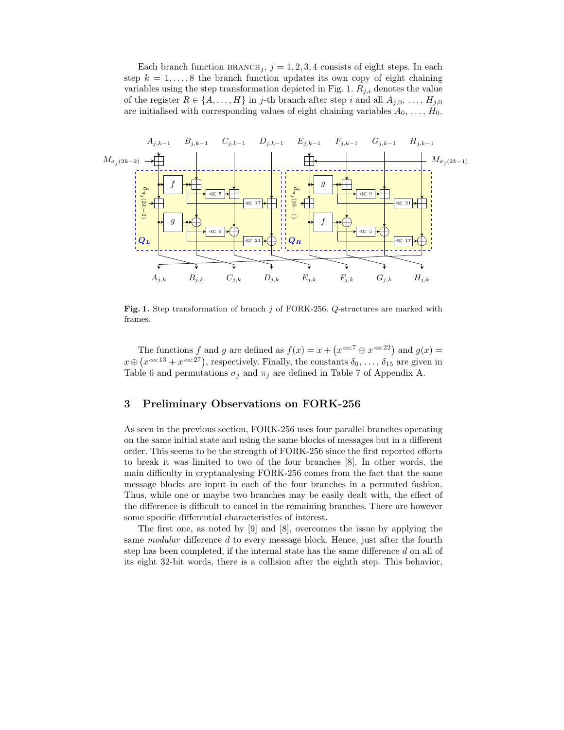Each branch function  $BRANCH_i$ ,  $j = 1, 2, 3, 4$  consists of eight steps. In each step  $k = 1, \ldots, 8$  the branch function updates its own copy of eight chaining variables using the step transformation depicted in Fig. 1.  $R_{i,i}$  denotes the value of the register  $R \in \{A, \ldots, H\}$  in j-th branch after step i and all  $A_{j,0}, \ldots, H_{j,0}$ are initialised with corresponding values of eight chaining variables  $A_0, \ldots, H_0$ .



Fig. 1. Step transformation of branch j of FORK-256. Q-structures are marked with frames.

The functions f and g are defined as  $f(x) = x + (x^{\lll 7} \oplus x^{\lll 22})$  and  $g(x) =$  $x \oplus (x^{\lll 13} + x^{\lll 27})$ , respectively. Finally, the constants  $\delta_0, \ldots, \delta_{15}$  are given in Table 6 and permutations  $\sigma_j$  and  $\pi_j$  are defined in Table 7 of Appendix A.

## 3 Preliminary Observations on FORK-256

As seen in the previous section, FORK-256 uses four parallel branches operating on the same initial state and using the same blocks of messages but in a different order. This seems to be the strength of FORK-256 since the first reported efforts to break it was limited to two of the four branches [8]. In other words, the main difficulty in cryptanalysing FORK-256 comes from the fact that the same message blocks are input in each of the four branches in a permuted fashion. Thus, while one or maybe two branches may be easily dealt with, the effect of the difference is difficult to cancel in the remaining branches. There are however some specific differential characteristics of interest.

The first one, as noted by [9] and [8], overcomes the issue by applying the same *modular* difference d to every message block. Hence, just after the fourth step has been completed, if the internal state has the same difference d on all of its eight 32-bit words, there is a collision after the eighth step. This behavior,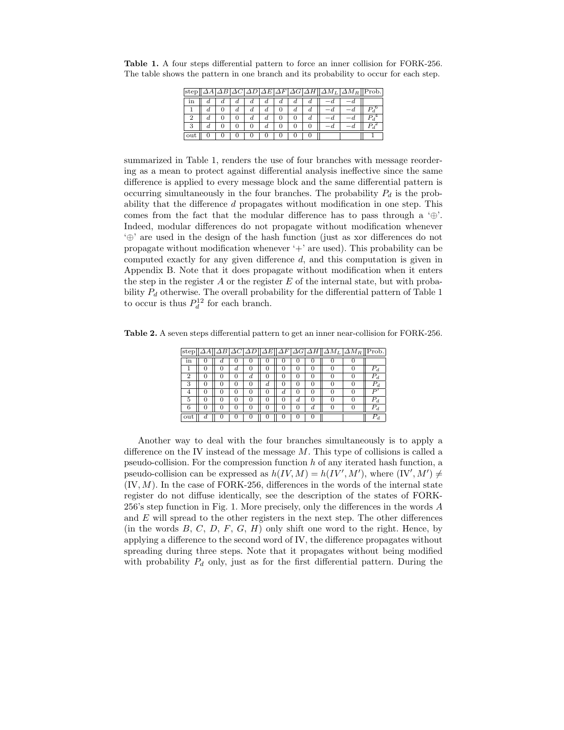| step |    |    |    |    |    |    | $\Delta A \Delta B \Delta C \Delta D \Delta E \Delta F \Delta G \Delta H  \Delta M_L \Delta M_R  $ Prob. |  |
|------|----|----|----|----|----|----|----------------------------------------------------------------------------------------------------------|--|
| ın   |    |    | a  | а. | a. | a  |                                                                                                          |  |
|      | d. | a. | а. |    | a  | α. |                                                                                                          |  |
|      | a. |    | a. |    |    |    |                                                                                                          |  |
|      |    |    |    |    |    |    |                                                                                                          |  |
|      |    |    |    |    |    |    |                                                                                                          |  |

Table 1. A four steps differential pattern to force an inner collision for FORK-256. The table shows the pattern in one branch and its probability to occur for each step.

summarized in Table 1, renders the use of four branches with message reordering as a mean to protect against differential analysis ineffective since the same difference is applied to every message block and the same differential pattern is occurring simultaneously in the four branches. The probability  $P_d$  is the probability that the difference d propagates without modification in one step. This comes from the fact that the modular difference has to pass through a  $\oplus$ . Indeed, modular differences do not propagate without modification whenever '⊕' are used in the design of the hash function (just as xor differences do not propagate without modification whenever  $+$  are used). This probability can be computed exactly for any given difference d, and this computation is given in Appendix B. Note that it does propagate without modification when it enters the step in the register  $A$  or the register  $E$  of the internal state, but with probability  $P_d$  otherwise. The overall probability for the differential pattern of Table 1 to occur is thus  $P_d^{12}$  for each branch.

Table 2. A seven steps differential pattern to get an inner near-collision for FORK-256.

| step |    |              |          |          |   |              |    |   | $\Delta A   \Delta B \Delta C \Delta D  \Delta E  \Delta F \Delta G \Delta H  \Delta M_L \Delta M_R  $ Prob. |               |
|------|----|--------------|----------|----------|---|--------------|----|---|--------------------------------------------------------------------------------------------------------------|---------------|
| ın   | O. |              |          |          |   |              |    |   |                                                                                                              |               |
|      |    | d.           | 0        | 0        | 0 | 0            |    |   |                                                                                                              | $P_d$         |
| 2    |    |              | d        | $\theta$ |   |              |    |   |                                                                                                              | d.            |
| 3    |    | $\mathbf{0}$ | $\theta$ | d.       | 0 | $\mathbf{0}$ |    |   |                                                                                                              | d.            |
|      |    |              | 0        | 0        | d | $^{(1)}$     |    |   |                                                                                                              | $\mathcal{D}$ |
| 5    | 0  | 0            | $\theta$ | $\theta$ | 0 | d.           |    |   |                                                                                                              | $P_d$         |
| 6    |    | 0            | O        | 0        |   |              | d. | 0 |                                                                                                              | $P_d$         |
| out  |    |              |          |          |   |              |    |   |                                                                                                              | $P_d$         |

Another way to deal with the four branches simultaneously is to apply a difference on the IV instead of the message  $M$ . This type of collisions is called a pseudo-collision. For the compression function  $h$  of any iterated hash function, a pseudo-collision can be expressed as  $h(IV, M) = h(IV', M')$ , where  $(IV', M') \neq$  $(IV, M)$ . In the case of FORK-256, differences in the words of the internal state register do not diffuse identically, see the description of the states of FORK-256's step function in Fig. 1. More precisely, only the differences in the words A and  $E$  will spread to the other registers in the next step. The other differences (in the words  $B, C, D, F, G, H$ ) only shift one word to the right. Hence, by applying a difference to the second word of IV, the difference propagates without spreading during three steps. Note that it propagates without being modified with probability  $P_d$  only, just as for the first differential pattern. During the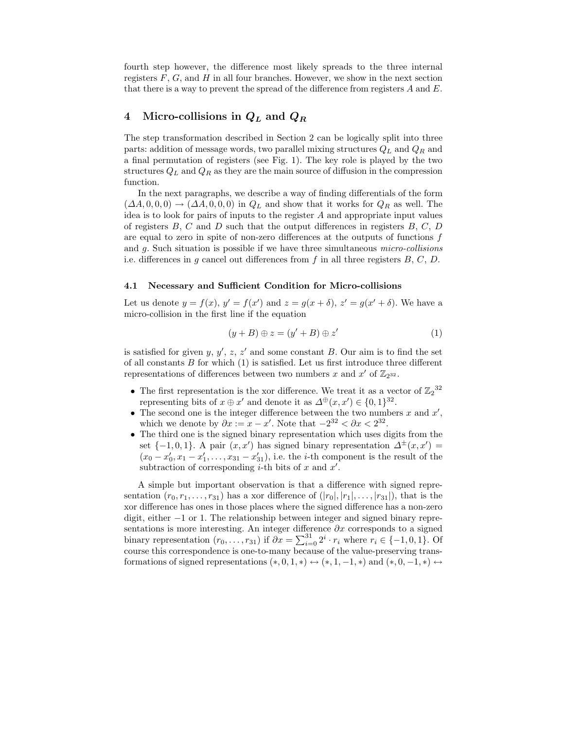fourth step however, the difference most likely spreads to the three internal registers  $F, G$ , and  $H$  in all four branches. However, we show in the next section that there is a way to prevent the spread of the difference from registers  $A$  and  $E$ .

# 4 Micro-collisions in  $Q_L$  and  $Q_R$

The step transformation described in Section 2 can be logically split into three parts: addition of message words, two parallel mixing structures  $Q_L$  and  $Q_R$  and a final permutation of registers (see Fig. 1). The key role is played by the two structures  $Q_L$  and  $Q_R$  as they are the main source of diffusion in the compression function.

In the next paragraphs, we describe a way of finding differentials of the form  $(\Delta A, 0, 0, 0) \rightarrow (\Delta A, 0, 0, 0)$  in  $Q_L$  and show that it works for  $Q_R$  as well. The idea is to look for pairs of inputs to the register A and appropriate input values of registers  $B, C$  and  $D$  such that the output differences in registers  $B, C, D$ are equal to zero in spite of non-zero differences at the outputs of functions  $f$ and g. Such situation is possible if we have three simultaneous micro-collisions i.e. differences in g cancel out differences from f in all three registers  $B, C, D$ .

#### 4.1 Necessary and Sufficient Condition for Micro-collisions

Let us denote  $y = f(x)$ ,  $y' = f(x')$  and  $z = g(x + \delta)$ ,  $z' = g(x' + \delta)$ . We have a micro-collision in the first line if the equation

$$
(y+B)\oplus z = (y'+B)\oplus z' \tag{1}
$$

is satisfied for given y,  $y'$ , z, z' and some constant B. Our aim is to find the set of all constants  $B$  for which  $(1)$  is satisfied. Let us first introduce three different representations of differences between two numbers x and  $x'$  of  $\mathbb{Z}_{2^{32}}$ .

- The first representation is the xor difference. We treat it as a vector of  $\mathbb{Z}_2^{32}$ representing bits of  $x \oplus x'$  and denote it as  $\Delta^{\oplus}(x, x') \in \{0, 1\}^{32}$ .
- The second one is the integer difference between the two numbers  $x$  and  $x'$ , which we denote by  $\partial x := x - x'$ . Note that  $-2^{32} < \partial x < 2^{32}$ .
- The third one is the signed binary representation which uses digits from the set  $\{-1,0,1\}$ . A pair  $(x, x')$  has signed binary representation  $\Delta^{\pm}(x, x') =$  $(x_0 - x'_0, x_1 - x'_1, \ldots, x_{31} - x'_{31}),$  i.e. the *i*-th component is the result of the subtraction of corresponding *i*-th bits of x and  $x'$ .

A simple but important observation is that a difference with signed representation  $(r_0,r_1,\ldots,r_{31})$  has a xor difference of  $(|r_0|, |r_1|, \ldots, |r_{31}|)$ , that is the xor difference has ones in those places where the signed difference has a non-zero digit, either −1 or 1. The relationship between integer and signed binary representations is more interesting. An integer difference  $\partial x$  corresponds to a signed binary representation  $(r_0, \ldots, r_{31})$  if  $\partial x = \sum_{i=0}^{31} 2^i \cdot r_i$  where  $r_i \in \{-1, 0, 1\}$ . Of course this correspondence is one-to-many because of the value-preserving transformations of signed representations  $(*, 0, 1, *) \leftrightarrow (*, 1, -1, *)$  and  $(*, 0, -1, *) \leftrightarrow$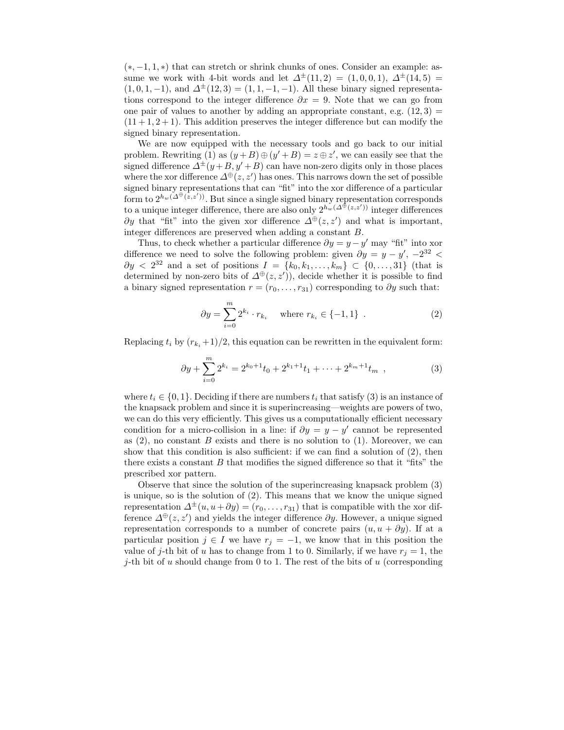$(*,-1,1,*)$  that can stretch or shrink chunks of ones. Consider an example: assume we work with 4-bit words and let  $\Delta^{\pm}(11,2) = (1,0,0,1), \Delta^{\pm}(14,5) =$  $(1, 0, 1, -1)$ , and  $\Delta^{\pm}(12, 3) = (1, 1, -1, -1)$ . All these binary signed representations correspond to the integer difference  $\partial x = 9$ . Note that we can go from one pair of values to another by adding an appropriate constant, e.g.  $(12,3)$  $(11 + 1, 2 + 1)$ . This addition preserves the integer difference but can modify the signed binary representation.

We are now equipped with the necessary tools and go back to our initial problem. Rewriting (1) as  $(y+B) \oplus (y'+B) = z \oplus z'$ , we can easily see that the signed difference  $\Delta^{\pm}(y+B,y'+B)$  can have non-zero digits only in those places where the xor difference  $\Delta^{\oplus}(z, z')$  has ones. This narrows down the set of possible signed binary representations that can "fit" into the xor difference of a particular form to  $2^{h_w(\Delta^{\oplus}(\tilde{z},z'))}$ . But since a single signed binary representation corresponds to a unique integer difference, there are also only  $2^{h_w(\Delta^{\oplus}(z,z'))}$  integer differences  $\partial y$  that "fit" into the given xor difference  $\Delta^{\oplus}(z, z')$  and what is important, integer differences are preserved when adding a constant B.

Thus, to check whether a particular difference  $\partial y = y - y'$  may "fit" into xor difference we need to solve the following problem: given  $\partial y = y - y'$ ,  $-2^{32}$  <  $\partial y \langle 2^{32} \rangle$  and a set of positions  $I = \{k_0, k_1, \ldots, k_m\} \subset \{0, \ldots, 31\}$  (that is determined by non-zero bits of  $\Delta^{\oplus}(z, z')$ , decide whether it is possible to find a binary signed representation  $r = (r_0, \ldots, r_{31})$  corresponding to  $\partial y$  such that:

$$
\partial y = \sum_{i=0}^{m} 2^{k_i} \cdot r_{k_i} \quad \text{where } r_{k_i} \in \{-1, 1\} \quad . \tag{2}
$$

Replacing  $t_i$  by  $(r_{k_i}+1)/2$ , this equation can be rewritten in the equivalent form:

$$
\partial y + \sum_{i=0}^{m} 2^{k_i} = 2^{k_0+1} t_0 + 2^{k_1+1} t_1 + \dots + 2^{k_m+1} t_m , \qquad (3)
$$

where  $t_i \in \{0,1\}$ . Deciding if there are numbers  $t_i$  that satisfy (3) is an instance of the knapsack problem and since it is superincreasing—weights are powers of two, we can do this very efficiently. This gives us a computationally efficient necessary condition for a micro-collision in a line: if  $\partial y = y - y'$  cannot be represented as  $(2)$ , no constant B exists and there is no solution to  $(1)$ . Moreover, we can show that this condition is also sufficient: if we can find a solution of (2), then there exists a constant  $B$  that modifies the signed difference so that it "fits" the prescribed xor pattern.

Observe that since the solution of the superincreasing knapsack problem (3) is unique, so is the solution of (2). This means that we know the unique signed representation  $\Delta^{\pm}(u, u + \partial y) = (r_0, \ldots, r_{31})$  that is compatible with the xor difference  $\Delta^{\oplus}(z, z')$  and yields the integer difference  $\partial y$ . However, a unique signed representation corresponds to a number of concrete pairs  $(u, u + \partial y)$ . If at a particular position  $j \in I$  we have  $r_j = -1$ , we know that in this position the value of j-th bit of u has to change from 1 to 0. Similarly, if we have  $r_i = 1$ , the j-th bit of u should change from 0 to 1. The rest of the bits of  $u$  (corresponding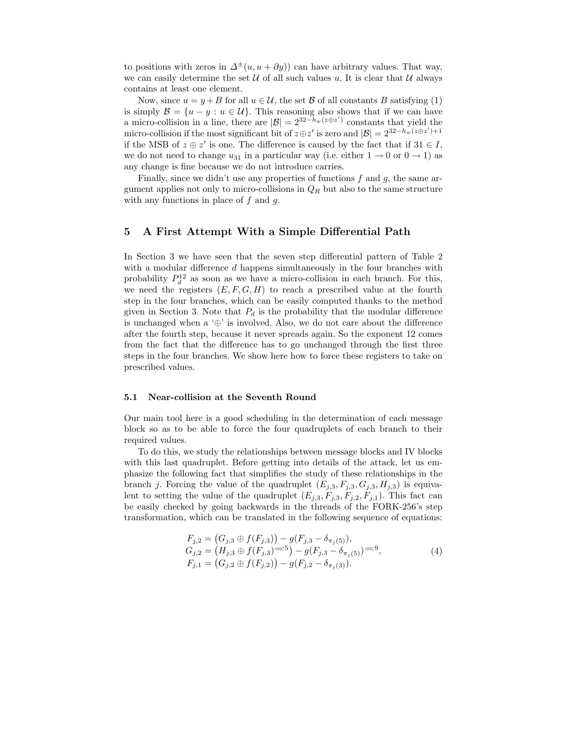to positions with zeros in  $\Delta^{\pm}(u, u + \partial y)$  can have arbitrary values. That way, we can easily determine the set  $U$  of all such values u. It is clear that  $U$  always contains at least one element.

Now, since  $u = y + B$  for all  $u \in \mathcal{U}$ , the set  $\mathcal B$  of all constants B satisfying (1) is simply  $\mathcal{B} = \{u - y : u \in \mathcal{U}\}\$ . This reasoning also shows that if we can have a micro-collision in a line, there are  $|\mathcal{B}| = 2^{32-h_w(z \oplus z')}$  constants that yield the micro-collision if the most significant bit of  $z \oplus z'$  is zero and  $|\mathcal{B}| = 2^{32-h_w(z \oplus z')+1}$ if the MSB of  $z \oplus z'$  is one. The difference is caused by the fact that if  $31 \in I$ , we do not need to change  $u_{31}$  in a particular way (i.e. either  $1 \rightarrow 0$  or  $0 \rightarrow 1$ ) as any change is fine because we do not introduce carries.

Finally, since we didn't use any properties of functions  $f$  and  $g$ , the same argument applies not only to micro-collisions in  $Q_R$  but also to the same structure with any functions in place of  $f$  and  $g$ .

## 5 A First Attempt With a Simple Differential Path

In Section 3 we have seen that the seven step differential pattern of Table 2 with a modular difference  $d$  happens simultaneously in the four branches with probability  $P_d^{12}$  as soon as we have a micro-collision in each branch. For this, we need the registers  $(E, F, G, H)$  to reach a prescribed value at the fourth step in the four branches, which can be easily computed thanks to the method given in Section 3. Note that  $P_d$  is the probability that the modular difference is unchanged when a ' $\oplus$ ' is involved. Also, we do not care about the difference after the fourth step, because it never spreads again. So the exponent 12 comes from the fact that the difference has to go unchanged through the first three steps in the four branches. We show here how to force these registers to take on prescribed values.

#### 5.1 Near-collision at the Seventh Round

Our main tool here is a good scheduling in the determination of each message block so as to be able to force the four quadruplets of each branch to their required values.

To do this, we study the relationships between message blocks and IV blocks with this last quadruplet. Before getting into details of the attack, let us emphasize the following fact that simplifies the study of these relationships in the branch j. Forcing the value of the quadruplet  $(E_{j,3},F_{j,3},G_{j,3},H_{j,3})$  is equivalent to setting the value of the quadruplet  $(E_{j,3},F_{j,3},F_{j,2},F_{j,1})$ . This fact can be easily checked by going backwards in the threads of the FORK-256's step transformation, which can be translated in the following sequence of equations:

$$
F_{j,2} = (G_{j,3} \oplus f(F_{j,3})) - g(F_{j,3} - \delta_{\pi_j(5)}),
$$
  
\n
$$
G_{j,2} = (H_{j,3} \oplus f(F_{j,3})^{\ll 5}) - g(F_{j,3} - \delta_{\pi_j(5)})^{\ll 9},
$$
  
\n
$$
F_{j,1} = (G_{j,2} \oplus f(F_{j,2})) - g(F_{j,2} - \delta_{\pi_j(3)}).
$$
\n(4)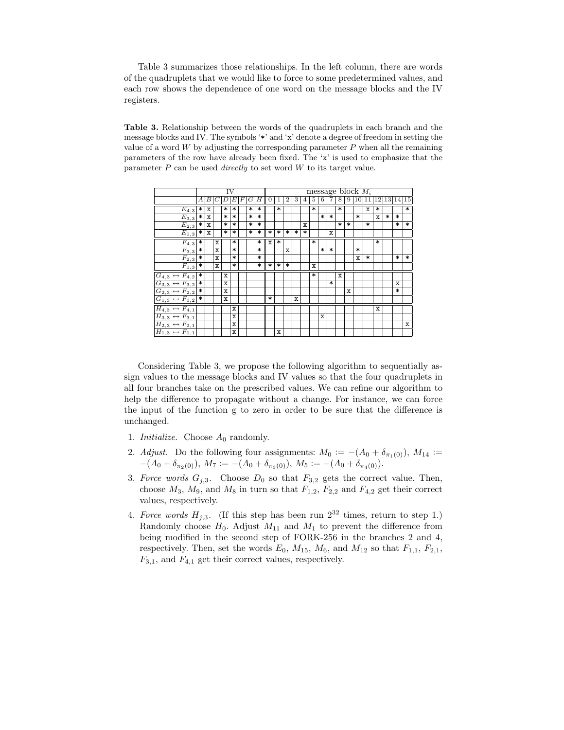Table 3 summarizes those relationships. In the left column, there are words of the quadruplets that we would like to force to some predetermined values, and each row shows the dependence of one word on the message blocks and the IV registers.

Table 3. Relationship between the words of the quadruplets in each branch and the message blocks and IV. The symbols '\*' and 'x' denote a degree of freedom in setting the value of a word  $W$  by adjusting the corresponding parameter  $P$  when all the remaining parameters of the row have already been fixed. The 'x' is used to emphasize that the parameter  $P$  can be used *directly* to set word  $W$  to its target value.

|                                              |                       |     |             | ĪV                |                   |   |                   |                   |                |        |                |                |        |             |                   |        |        |        | message block $M_i$                                            |                   |             |        |                   |                   |
|----------------------------------------------|-----------------------|-----|-------------|-------------------|-------------------|---|-------------------|-------------------|----------------|--------|----------------|----------------|--------|-------------|-------------------|--------|--------|--------|----------------------------------------------------------------|-------------------|-------------|--------|-------------------|-------------------|
|                                              | A                     | B C |             | $\overline{D}$    | $E\,$             | F |                   | G H               | $\overline{0}$ | 1      | $\overline{2}$ | $\overline{3}$ | 4      | 5           | 6                 | 7      | 8      | 9      | $\boxed{10}\boxed{11}\boxed{12}\boxed{13}\boxed{14}\boxed{15}$ |                   |             |        |                   |                   |
| $\overline{E_4}$ <sub>,3</sub>               | $\ast$                | X   |             | $\ast$            | $\ast$            |   | $\ast$            | $\ast$            |                | $\ast$ |                |                |        | *           |                   |        | $\ast$ |        |                                                                | x                 | $\ast$      |        |                   | $\ast$            |
| $\overline{E_{3,3}}$                         | $\left  \ast \right $ | x   |             | $\overline{\ast}$ | $\overline{\ast}$ |   | $\overline{\ast}$ | $\overline{\ast}$ |                |        |                |                |        |             | $\overline{\ast}$ | $\ast$ |        |        | $\ast$                                                         |                   | $\mathbf x$ | $\ast$ | $\ast$            |                   |
| $E_{2,3}$                                    | $\ast$                | x   |             | $\ast$            | $\ast$            |   | $\ast$            | $\ast$            |                |        |                |                | x      |             |                   |        | $\ast$ | $\ast$ |                                                                | $\ast$            |             |        | $\ast$            | $\ast$            |
| $\overline{E_1}$ <sub>3</sub>                | $\ast$                | x   |             | $\ast$            | $\ast$            |   | $\ast$            | $\ast$            | $\ast$         | $\ast$ | $\ast$         | $\ast$         | $\ast$ |             |                   | x      |        |        |                                                                |                   |             |        |                   |                   |
| $\overline{F}_{4,3}$                         | ∗                     |     | x           |                   | $\ast$            |   |                   | $\ast$            | x              | *      |                |                |        | *           |                   |        |        |        |                                                                |                   | $\ast$      |        |                   |                   |
|                                              | $\ast$                |     | $\mathbf x$ |                   | $\overline{\ast}$ |   |                   | $\overline{\ast}$ |                |        | $\mathbf x$    |                |        |             | $\ast$            | $\ast$ |        |        | $\ast$                                                         |                   |             |        |                   |                   |
| $\frac{F_{3,3}}{F_{2,3}}$                    | $\ast$                |     | x           |                   | $\overline{\ast}$ |   |                   | $\overline{\ast}$ |                |        |                |                |        |             |                   |        |        |        | $\mathbf x$                                                    | $\overline{\ast}$ |             |        | $\overline{\ast}$ | $\overline{\ast}$ |
| $\overline{F_1}_{,3}$                        | $\ast$                |     | x           |                   | $\ast$            |   |                   | $\ast$            | $\ast$         | $\ast$ | $\ast$         |                |        | $\mathbf x$ |                   |        |        |        |                                                                |                   |             |        |                   |                   |
| $G_{4,3} \leftrightarrow F_{4,2}$            | ∗                     |     |             | x                 |                   |   |                   |                   |                |        |                |                |        | $\ast$      |                   |        | x      |        |                                                                |                   |             |        |                   |                   |
| $G_{3,3} \leftrightarrow F_{3,2}$            | $\ast$                |     |             | x                 |                   |   |                   |                   |                |        |                |                |        |             |                   | $\ast$ |        |        |                                                                |                   |             |        | x                 |                   |
| $G_{2,3} \leftrightarrow F_{2,2}$ *          |                       |     |             | x                 |                   |   |                   |                   |                |        |                |                |        |             |                   |        |        | x      |                                                                |                   |             |        | $\ast$            |                   |
| $G_{1,3} \leftrightarrow F_{1,2}$ *          |                       |     |             | $\mathbf x$       |                   |   |                   |                   | *              |        |                | x              |        |             |                   |        |        |        |                                                                |                   |             |        |                   |                   |
| $\overline{H_{4,3}} \leftrightarrow F_{4,1}$ |                       |     |             |                   | x                 |   |                   |                   |                |        |                |                |        |             |                   |        |        |        |                                                                |                   | x           |        |                   |                   |
| $H_{3,3} \leftrightarrow F_{3,1}$            |                       |     |             |                   | X                 |   |                   |                   |                |        |                |                |        |             | X                 |        |        |        |                                                                |                   |             |        |                   |                   |
| $H_{2,3} \leftrightarrow F_{2,1}$            |                       |     |             |                   | x                 |   |                   |                   |                |        |                |                |        |             |                   |        |        |        |                                                                |                   |             |        |                   | $\mathbf x$       |
| $H_{1,3} \leftrightarrow F_{1,1}$            |                       |     |             |                   | x                 |   |                   |                   |                | X      |                |                |        |             |                   |        |        |        |                                                                |                   |             |        |                   |                   |

Considering Table 3, we propose the following algorithm to sequentially assign values to the message blocks and IV values so that the four quadruplets in all four branches take on the prescribed values. We can refine our algorithm to help the difference to propagate without a change. For instance, we can force the input of the function g to zero in order to be sure that the difference is unchanged.

- 1. *Initialize.* Choose  $A_0$  randomly.
- 2. Adjust. Do the following four assignments:  $M_0 := -(A_0 + \delta_{\pi_1(0)})$ ,  $M_{14} :=$  $-(A_0 + \delta_{\pi_2(0)}), M_7 := -(A_0 + \delta_{\pi_3(0)}), M_5 := -(A_0 + \delta_{\pi_4(0)}).$
- 3. Force words  $G_{j,3}$ . Choose  $D_0$  so that  $F_{3,2}$  gets the correct value. Then, choose  $M_3$ ,  $M_9$ , and  $M_8$  in turn so that  $F_{1,2}$ ,  $F_{2,2}$  and  $F_{4,2}$  get their correct values, respectively.
- 4. Force words  $H_{j,3}$ . (If this step has been run  $2^{32}$  times, return to step 1.) Randomly choose  $H_0$ . Adjust  $M_{11}$  and  $M_1$  to prevent the difference from being modified in the second step of FORK-256 in the branches 2 and 4, respectively. Then, set the words  $E_0$ ,  $M_{15}$ ,  $M_6$ , and  $M_{12}$  so that  $F_{1,1}$ ,  $F_{2,1}$ ,  $F_{3,1}$ , and  $F_{4,1}$  get their correct values, respectively.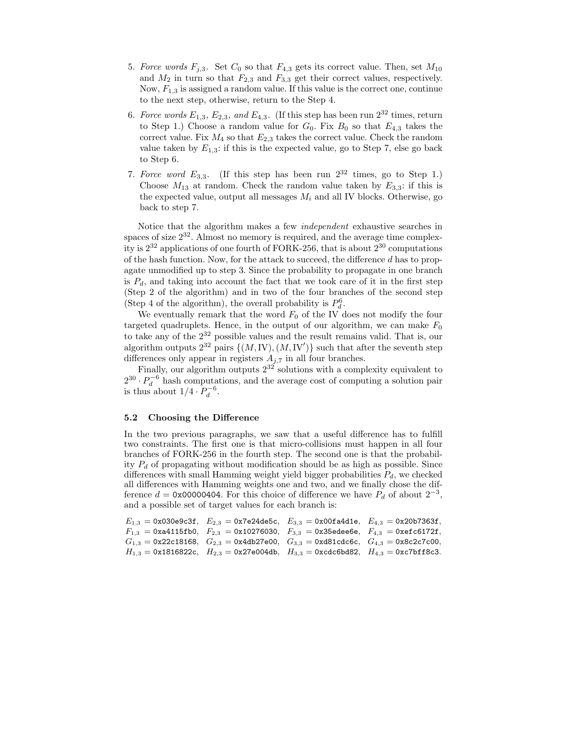- 5. Force words  $F_{j,3}$ . Set  $C_0$  so that  $F_{4,3}$  gets its correct value. Then, set  $M_{10}$ and  $M_2$  in turn so that  $F_{2,3}$  and  $F_{3,3}$  get their correct values, respectively. Now,  $F_{1,3}$  is assigned a random value. If this value is the correct one, continue to the next step, otherwise, return to the Step 4.
- 6. Force words  $E_{1,3}$ ,  $E_{2,3}$ , and  $E_{4,3}$ . (If this step has been run  $2^{32}$  times, return to Step 1.) Choose a random value for  $G_0$ . Fix  $B_0$  so that  $E_{4,3}$  takes the correct value. Fix  $M_4$  so that  $E_{2,3}$  takes the correct value. Check the random value taken by  $E_{1,3}$ : if this is the expected value, go to Step 7, else go back to Step 6.
- 7. Force word  $E_{3,3}$ . (If this step has been run  $2^{32}$  times, go to Step 1.) Choose  $M_{13}$  at random. Check the random value taken by  $E_{3,3}$ : if this is the expected value, output all messages  $M_i$  and all IV blocks. Otherwise, go back to step 7.

Notice that the algorithm makes a few independent exhaustive searches in spaces of size  $2^{32}$ . Almost no memory is required, and the average time complexity is  $2^{32}$  applications of one fourth of FORK-256, that is about  $2^{30}$  computations of the hash function. Now, for the attack to succeed, the difference  $d$  has to propagate unmodified up to step 3. Since the probability to propagate in one branch is  $P_d$ , and taking into account the fact that we took care of it in the first step (Step 2 of the algorithm) and in two of the four branches of the second step (Step 4 of the algorithm), the overall probability is  $P_d^6$ .

We eventually remark that the word  $F_0$  of the IV does not modify the four targeted quadruplets. Hence, in the output of our algorithm, we can make  $F_0$ to take any of the  $2^{32}$  possible values and the result remains valid. That is, our algorithm outputs  $2^{32}$  pairs  $\{(M,IV), (M,IV')\}$  such that after the seventh step differences only appear in registers  $A_{j,7}$  in all four branches.

Finally, our algorithm outputs  $2^{32}$  solutions with a complexity equivalent to  $2^{30} \cdot P_d^{-6}$  hash computations, and the average cost of computing a solution pair is thus about  $1/4 \cdot P_d^{-6}$ .

#### 5.2 Choosing the Difference

In the two previous paragraphs, we saw that a useful difference has to fulfill two constraints. The first one is that micro-collisions must happen in all four branches of FORK-256 in the fourth step. The second one is that the probability  $P_d$  of propagating without modification should be as high as possible. Since differences with small Hamming weight yield bigger probabilities  $P_d$ , we checked all differences with Hamming weights one and two, and we finally chose the difference  $d = 0$ x00000404. For this choice of difference we have  $P_d$  of about  $2^{-3}$ , and a possible set of target values for each branch is:

| $E_{1,3} = 0x030e9c3f$ , $E_{2,3} = 0x7e24d0c5c$ , $E_{3,3} = 0x00f4d01e$ , $E_{4,3} = 0x20b7363f$ , |  |
|------------------------------------------------------------------------------------------------------|--|
| $F_{1,3}$ = 0xa4115fb0, $F_{2,3}$ = 0x10276030, $F_{3,3}$ = 0x35edee6e, $F_{4,3}$ = 0xefc6172f,      |  |
| $G_{1,3} = 0x22c18168$ , $G_{2,3} = 0x4db27e00$ , $G_{3,3} = 0xd81cdc6c$ , $G_{4,3} = 0x8c2c7c00$ ,  |  |
| $H_{1,3} = 0x1816822c$ , $H_{2,3} = 0x27e004db$ , $H_{3,3} = 0xcdc66682$ , $H_{4,3} = 0xc7bff8c3$ .  |  |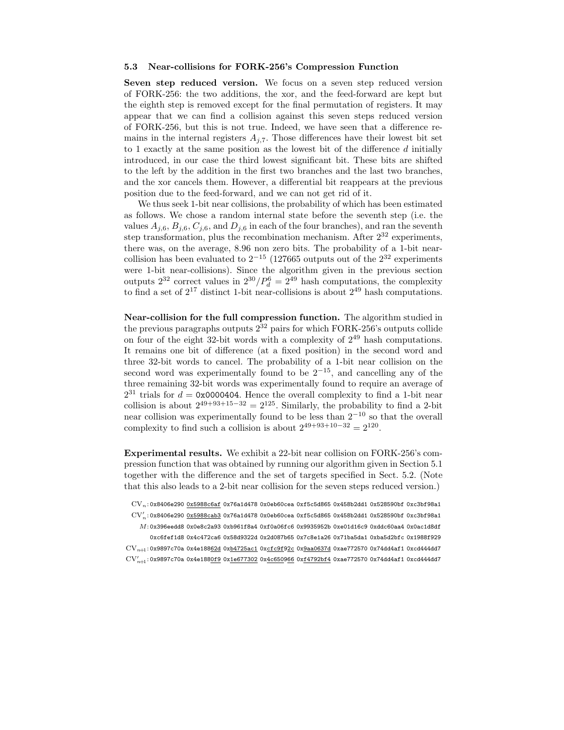#### 5.3 Near-collisions for FORK-256's Compression Function

Seven step reduced version. We focus on a seven step reduced version of FORK-256: the two additions, the xor, and the feed-forward are kept but the eighth step is removed except for the final permutation of registers. It may appear that we can find a collision against this seven steps reduced version of FORK-256, but this is not true. Indeed, we have seen that a difference remains in the internal registers  $A_{i,7}$ . Those differences have their lowest bit set to 1 exactly at the same position as the lowest bit of the difference d initially introduced, in our case the third lowest significant bit. These bits are shifted to the left by the addition in the first two branches and the last two branches, and the xor cancels them. However, a differential bit reappears at the previous position due to the feed-forward, and we can not get rid of it.

We thus seek 1-bit near collisions, the probability of which has been estimated as follows. We chose a random internal state before the seventh step (i.e. the values  $A_{j,6}$ ,  $B_{j,6}$ ,  $C_{j,6}$ , and  $D_{j,6}$  in each of the four branches), and ran the seventh step transformation, plus the recombination mechanism. After  $2^{32}$  experiments, there was, on the average, 8.96 non zero bits. The probability of a 1-bit nearcollision has been evaluated to  $2^{-15}$  (127665 outputs out of the  $2^{32}$  experiments were 1-bit near-collisions). Since the algorithm given in the previous section outputs  $2^{32}$  correct values in  $2^{30}/P_d^6 = 2^{49}$  hash computations, the complexity to find a set of  $2^{17}$  distinct 1-bit near-collisions is about  $2^{49}$  hash computations.

Near-collision for the full compression function. The algorithm studied in the previous paragraphs outputs  $2^{32}$  pairs for which FORK-256's outputs collide on four of the eight 32-bit words with a complexity of  $2^{49}$  hash computations. It remains one bit of difference (at a fixed position) in the second word and three 32-bit words to cancel. The probability of a 1-bit near collision on the second word was experimentally found to be  $2^{-15}$ , and cancelling any of the three remaining 32-bit words was experimentally found to require an average of  $2^{31}$  trials for  $d = 0$ x0000404. Hence the overall complexity to find a 1-bit near collision is about  $2^{49+93+15-32} = 2^{125}$ . Similarly, the probability to find a 2-bit near collision was experimentally found to be less than  $2^{-10}$  so that the overall complexity to find such a collision is about  $2^{49+93+10-32} = 2^{120}$ .

Experimental results. We exhibit a 22-bit near collision on FORK-256's compression function that was obtained by running our algorithm given in Section 5.1 together with the difference and the set of targets specified in Sect. 5.2. (Note that this also leads to a 2-bit near collision for the seven steps reduced version.)

 ${\rm CV}_n$ : 0x8406e290 0x5988c6af 0x76a1d478 0x0eb60cea 0xf5c5d865 0x458b2dd1 0x528590bf 0xc3bf98a1  $\mathrm{CV}_n'$ :0x8406e290 <u>0x5988cab3</u> 0x76a1d478 0x0eb60cea 0xf5c5d865 0x458b2dd1 0x528590bf 0xc3bf98a1  $M$ : 0x396eedd8 0x0e8c2a93 0xb961f8a4 0xf0a06fc6 0x9935952b 0xe01d16c9 0xddc60aa4 0x0ac1d8df 0xc6fef1d8 0x4c472ca6 0x58d9322d 0x2d087b65 0x7c8e1a26 0x71ba5da1 0xba5d2bfc 0x1988f929  $\mathrm{CV}_{n+1}$ : 0x9897c70a 0x4e18862d 0xb4725ac1 0xcfc9f92c 0x9aa0637d 0xae772570 0x74dd4af1 0xcd444dd7  $\text{CV}_{n\!+\!1}^{\prime}$ :0x9897c70a 0x4e188<u>0f9</u> 0x<u>1e677302</u> 0x<u>4c650966</u> 0x<u>f4792bf4</u> 0xae772570 0x74dd4af1 0xcd444dd7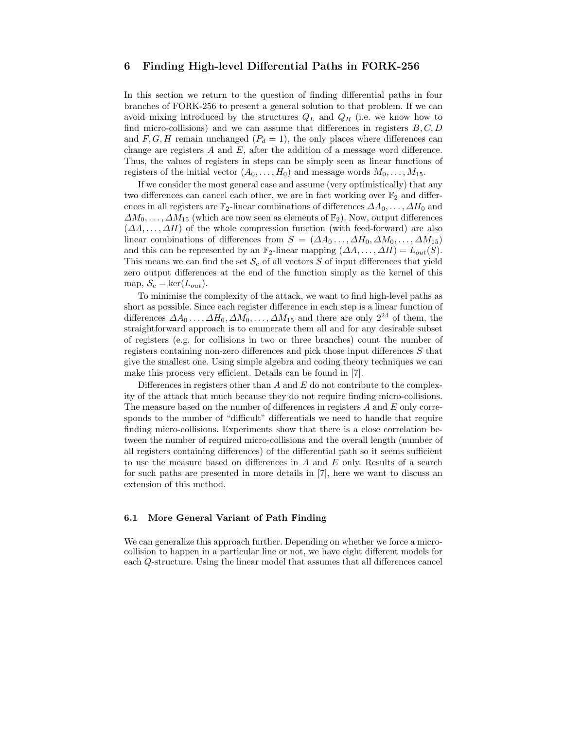### 6 Finding High-level Differential Paths in FORK-256

In this section we return to the question of finding differential paths in four branches of FORK-256 to present a general solution to that problem. If we can avoid mixing introduced by the structures  $Q_L$  and  $Q_R$  (i.e. we know how to find micro-collisions) and we can assume that differences in registers  $B, C, D$ and  $F, G, H$  remain unchanged  $(P_d = 1)$ , the only places where differences can change are registers  $A$  and  $E$ , after the addition of a message word difference. Thus, the values of registers in steps can be simply seen as linear functions of registers of the initial vector  $(A_0, \ldots, H_0)$  and message words  $M_0, \ldots, M_{15}$ .

If we consider the most general case and assume (very optimistically) that any two differences can cancel each other, we are in fact working over  $\mathbb{F}_2$  and differences in all registers are  $\mathbb{F}_2$ -linear combinations of differences  $\Delta A_0, \ldots, \Delta H_0$  and  $\Delta M_0, \ldots, \Delta M_{15}$  (which are now seen as elements of  $\mathbb{F}_2$ ). Now, output differences  $(\Delta A, \ldots, \Delta H)$  of the whole compression function (with feed-forward) are also linear combinations of differences from  $S = (\Delta A_0 \dots, \Delta H_0, \Delta M_0, \dots, \Delta M_{15})$ and this can be represented by an  $\mathbb{F}_2$ -linear mapping  $(\Delta A, \ldots, \Delta H) = L_{out}(S)$ . This means we can find the set  $\mathcal{S}_c$  of all vectors S of input differences that yield zero output differences at the end of the function simply as the kernel of this map,  $S_c = \text{ker}(L_{out})$ .

To minimise the complexity of the attack, we want to find high-level paths as short as possible. Since each register difference in each step is a linear function of differences  $\Delta A_0 \ldots, \Delta H_0, \Delta M_0, \ldots, \Delta M_{15}$  and there are only  $2^{24}$  of them, the straightforward approach is to enumerate them all and for any desirable subset of registers (e.g. for collisions in two or three branches) count the number of registers containing non-zero differences and pick those input differences S that give the smallest one. Using simple algebra and coding theory techniques we can make this process very efficient. Details can be found in [7].

Differences in registers other than  $A$  and  $E$  do not contribute to the complexity of the attack that much because they do not require finding micro-collisions. The measure based on the number of differences in registers  $A$  and  $E$  only corresponds to the number of "difficult" differentials we need to handle that require finding micro-collisions. Experiments show that there is a close correlation between the number of required micro-collisions and the overall length (number of all registers containing differences) of the differential path so it seems sufficient to use the measure based on differences in A and E only. Results of a search for such paths are presented in more details in [7], here we want to discuss an extension of this method.

#### 6.1 More General Variant of Path Finding

We can generalize this approach further. Depending on whether we force a microcollision to happen in a particular line or not, we have eight different models for each Q-structure. Using the linear model that assumes that all differences cancel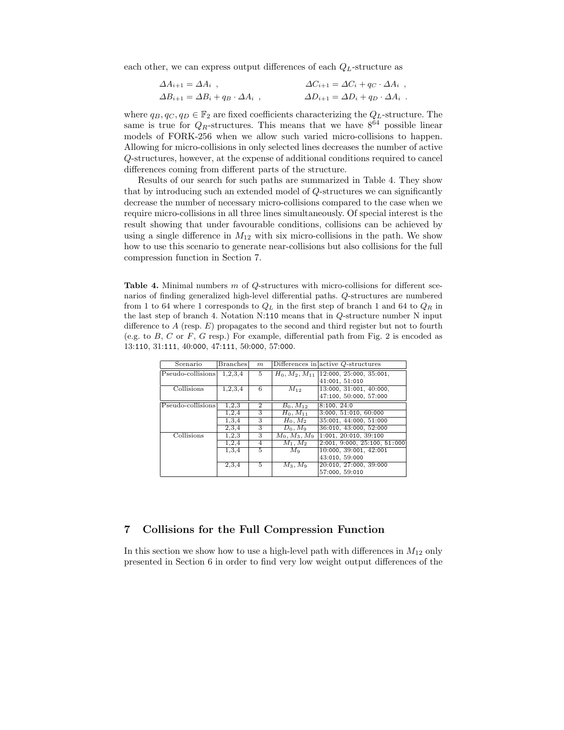each other, we can express output differences of each  $Q_L$ -structure as

$$
\Delta A_{i+1} = \Delta A_i ,
$$
  
\n
$$
\Delta C_{i+1} = \Delta C_i + q_C \cdot \Delta A_i ,
$$
  
\n
$$
\Delta B_{i+1} = \Delta B_i + q_B \cdot \Delta A_i ,
$$
  
\n
$$
\Delta D_{i+1} = \Delta D_i + q_D \cdot \Delta A_i .
$$

where  $q_B, q_C, q_D \in \mathbb{F}_2$  are fixed coefficients characterizing the  $Q_L$ -structure. The same is true for  $Q_R$ -structures. This means that we have  $8^{64}$  possible linear models of FORK-256 when we allow such varied micro-collisions to happen. Allowing for micro-collisions in only selected lines decreases the number of active Q-structures, however, at the expense of additional conditions required to cancel differences coming from different parts of the structure.

Results of our search for such paths are summarized in Table 4. They show that by introducing such an extended model of Q-structures we can significantly decrease the number of necessary micro-collisions compared to the case when we require micro-collisions in all three lines simultaneously. Of special interest is the result showing that under favourable conditions, collisions can be achieved by using a single difference in  $M_{12}$  with six micro-collisions in the path. We show how to use this scenario to generate near-collisions but also collisions for the full compression function in Section 7.

Table 4. Minimal numbers  $m$  of  $Q$ -structures with micro-collisions for different scenarios of finding generalized high-level differential paths. Q-structures are numbered from 1 to 64 where 1 corresponds to  $Q_L$  in the first step of branch 1 and 64 to  $Q_R$  in the last step of branch 4. Notation N:110 means that in Q-structure number N input difference to  $A$  (resp.  $E$ ) propagates to the second and third register but not to fourth (e.g. to  $B$ ,  $C$  or  $F$ ,  $G$  resp.) For example, differential path from Fig. 2 is encoded as 13:110, 31:111, 40:000, 47:111, 50:000, 57:000.

| Scenario          | <b>Branches</b> | m              |                 | Differences in $\alpha$ active Q-structures |
|-------------------|-----------------|----------------|-----------------|---------------------------------------------|
| Pseudo-collisions | 1,2,3,4         | 5              |                 | $H_0, M_2, M_{11}$ [12:000, 25:000, 35:001, |
|                   |                 |                |                 | 41:001, 51:010                              |
| Collisions        | 1,2,3,4         | 6              | $M_{12}$        | 13:000, 31:001, 40:000,                     |
|                   |                 |                |                 | 47:100, 50:000, 57:000                      |
| Pseudo-collisions | 1,2,3           | $\overline{2}$ | $B_0, M_{12}$   | 8:100, 24:0                                 |
|                   | 1,2,4           | 3              | $H_0, M_{11}$   | 3:000, 51:010, 60:000                       |
|                   | 1,3,4           | 3              | $H_0, M_2$      | 35:001, 44:000, 51:000                      |
|                   | 2,3,4           | 3              | $D_0, M_9$      | 36:010, 43:000, 52:000                      |
| Collisions        | 1.2.3           | 3              | $M_0, M_3, M_9$ | 1:001, 20:010, 39:100                       |
|                   | 1,2,4           | 4              | $M_1, M_2$      | 2:001, 9:000, 25:100, 51:000                |
|                   | 1,3,4           | 5              | $M_{\rm Q}$     | 10:000, 39:001, 42:001                      |
|                   |                 |                |                 | 43:010, 59:000                              |
|                   | 2,3,4           | 5              | $M_3, M_9$      | 20:010, 27:000, 39:000                      |
|                   |                 |                |                 | 57:000, 59:010                              |

# 7 Collisions for the Full Compression Function

In this section we show how to use a high-level path with differences in  $M_{12}$  only presented in Section 6 in order to find very low weight output differences of the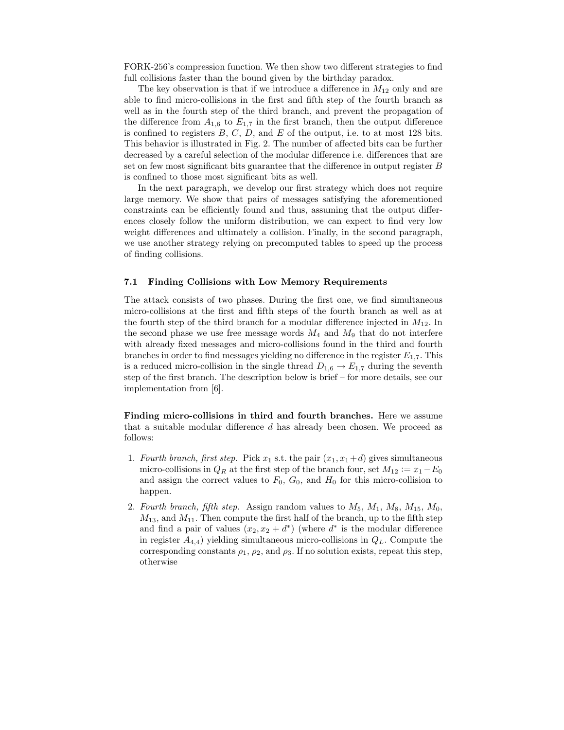FORK-256's compression function. We then show two different strategies to find full collisions faster than the bound given by the birthday paradox.

The key observation is that if we introduce a difference in  $M_{12}$  only and are able to find micro-collisions in the first and fifth step of the fourth branch as well as in the fourth step of the third branch, and prevent the propagation of the difference from  $A_{1,6}$  to  $E_{1,7}$  in the first branch, then the output difference is confined to registers  $B, C, D$ , and  $E$  of the output, i.e. to at most 128 bits. This behavior is illustrated in Fig. 2. The number of affected bits can be further decreased by a careful selection of the modular difference i.e. differences that are set on few most significant bits guarantee that the difference in output register  $B$ is confined to those most significant bits as well.

In the next paragraph, we develop our first strategy which does not require large memory. We show that pairs of messages satisfying the aforementioned constraints can be efficiently found and thus, assuming that the output differences closely follow the uniform distribution, we can expect to find very low weight differences and ultimately a collision. Finally, in the second paragraph, we use another strategy relying on precomputed tables to speed up the process of finding collisions.

#### 7.1 Finding Collisions with Low Memory Requirements

The attack consists of two phases. During the first one, we find simultaneous micro-collisions at the first and fifth steps of the fourth branch as well as at the fourth step of the third branch for a modular difference injected in  $M_{12}$ . In the second phase we use free message words  $M_4$  and  $M_9$  that do not interfere with already fixed messages and micro-collisions found in the third and fourth branches in order to find messages yielding no difference in the register  $E_{1,7}$ . This is a reduced micro-collision in the single thread  $D_{1,6} \rightarrow E_{1,7}$  during the seventh step of the first branch. The description below is brief – for more details, see our implementation from [6].

Finding micro-collisions in third and fourth branches. Here we assume that a suitable modular difference d has already been chosen. We proceed as follows:

- 1. Fourth branch, first step. Pick  $x_1$  s.t. the pair  $(x_1, x_1+d)$  gives simultaneous micro-collisions in  $Q_R$  at the first step of the branch four, set  $M_{12} := x_1 - E_0$ and assign the correct values to  $F_0$ ,  $G_0$ , and  $H_0$  for this micro-collision to happen.
- 2. Fourth branch, fifth step. Assign random values to  $M_5$ ,  $M_1$ ,  $M_8$ ,  $M_{15}$ ,  $M_0$ ,  $M_{13}$ , and  $M_{11}$ . Then compute the first half of the branch, up to the fifth step and find a pair of values  $(x_2, x_2 + d^*)$  (where  $d^*$  is the modular difference in register  $A_{4,4}$ ) yielding simultaneous micro-collisions in  $Q_L$ . Compute the corresponding constants  $\rho_1$ ,  $\rho_2$ , and  $\rho_3$ . If no solution exists, repeat this step, otherwise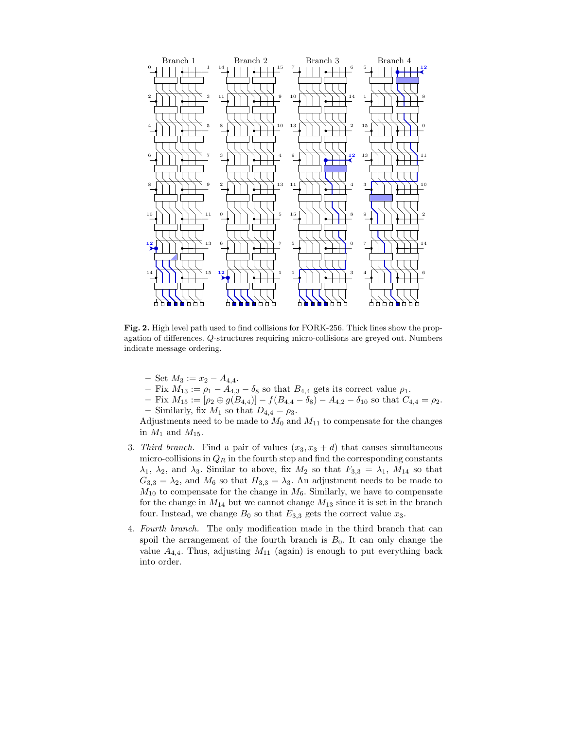

Fig. 2. High level path used to find collisions for FORK-256. Thick lines show the propagation of differences. Q-structures requiring micro-collisions are greyed out. Numbers indicate message ordering.

- $-$  Set  $M_3 := x_2 A_{4,4}.$
- Fix  $M_{13} := \rho_1 A_{4,3} \delta_8$  so that  $B_{4,4}$  gets its correct value  $\rho_1$ .
- $-$  Fix  $M_{15} := [\rho_2 \oplus g(B_{4,4})] f(B_{4,4} \delta_8) A_{4,2} \delta_{10}$  so that  $C_{4,4} = \rho_2$ . – Similarly, fix  $M_1$  so that  $D_{4,4} = \rho_3$ .

Adjustments need to be made to  $M_0$  and  $M_{11}$  to compensate for the changes in  $M_1$  and  $M_{15}$ .

- 3. Third branch. Find a pair of values  $(x_3, x_3 + d)$  that causes simultaneous micro-collisions in  $Q_R$  in the fourth step and find the corresponding constants  $\lambda_1$ ,  $\lambda_2$ , and  $\lambda_3$ . Similar to above, fix  $M_2$  so that  $F_{3,3} = \lambda_1$ ,  $M_{14}$  so that  $G_{3,3} = \lambda_2$ , and  $M_6$  so that  $H_{3,3} = \lambda_3$ . An adjustment needs to be made to  $M_{10}$  to compensate for the change in  $M_6$ . Similarly, we have to compensate for the change in  $M_{14}$  but we cannot change  $M_{13}$  since it is set in the branch four. Instead, we change  $B_0$  so that  $E_{3,3}$  gets the correct value  $x_3$ .
- 4. Fourth branch. The only modification made in the third branch that can spoil the arrangement of the fourth branch is  $B_0$ . It can only change the value  $A_{4,4}$ . Thus, adjusting  $M_{11}$  (again) is enough to put everything back into order.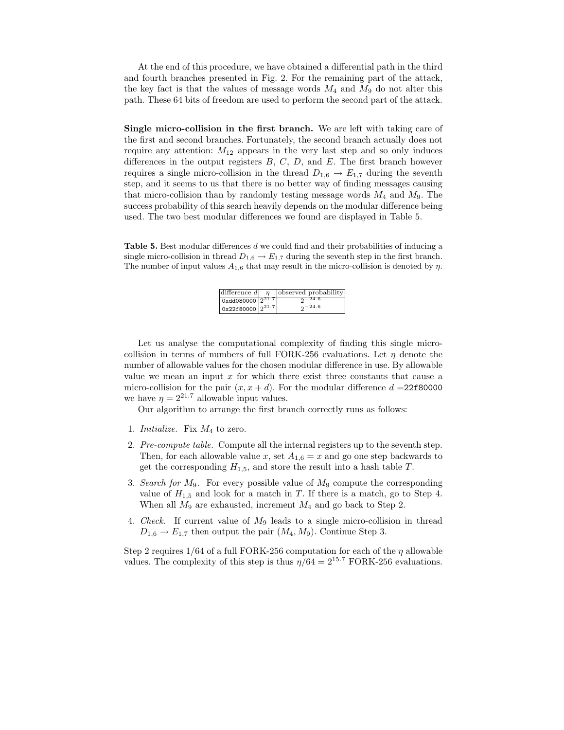At the end of this procedure, we have obtained a differential path in the third and fourth branches presented in Fig. 2. For the remaining part of the attack, the key fact is that the values of message words  $M_4$  and  $M_9$  do not alter this path. These 64 bits of freedom are used to perform the second part of the attack.

Single micro-collision in the first branch. We are left with taking care of the first and second branches. Fortunately, the second branch actually does not require any attention:  $M_{12}$  appears in the very last step and so only induces differences in the output registers  $B, C, D$ , and  $E$ . The first branch however requires a single micro-collision in the thread  $D_{1,6} \rightarrow E_{1,7}$  during the seventh step, and it seems to us that there is no better way of finding messages causing that micro-collision than by randomly testing message words  $M_4$  and  $M_9$ . The success probability of this search heavily depends on the modular difference being used. The two best modular differences we found are displayed in Table 5.

Table 5. Best modular differences d we could find and their probabilities of inducing a single micro-collision in thread  $D_{1,6} \to E_{1,7}$  during the seventh step in the first branch. The number of input values  $A_{1,6}$  that may result in the micro-collision is denoted by  $\eta$ .

|                                     | difference $d \mid \eta$   observed probability |
|-------------------------------------|-------------------------------------------------|
| $\alpha_{\rm Xdd080000}  2^{21.7} $ | $2-24.6$                                        |
| $\alpha$ 22f80000 $2^{21.7}$        | $2-24.6$                                        |

Let us analyse the computational complexity of finding this single microcollision in terms of numbers of full FORK-256 evaluations. Let  $\eta$  denote the number of allowable values for the chosen modular difference in use. By allowable value we mean an input  $x$  for which there exist three constants that cause a micro-collision for the pair  $(x, x + d)$ . For the modular difference  $d = 22f80000$ we have  $\eta = 2^{21.7}$  allowable input values.

Our algorithm to arrange the first branch correctly runs as follows:

- 1. *Initialize*. Fix  $M_4$  to zero.
- 2. Pre-compute table. Compute all the internal registers up to the seventh step. Then, for each allowable value x, set  $A_{1,6} = x$  and go one step backwards to get the corresponding  $H_{1,5}$ , and store the result into a hash table T.
- 3. Search for  $M_9$ . For every possible value of  $M_9$  compute the corresponding value of  $H_{1,5}$  and look for a match in T. If there is a match, go to Step 4. When all  $M_9$  are exhausted, increment  $M_4$  and go back to Step 2.
- 4. Check. If current value of  $M_9$  leads to a single micro-collision in thread  $D_{1,6} \rightarrow E_{1,7}$  then output the pair  $(M_4, M_9)$ . Continue Step 3.

Step 2 requires  $1/64$  of a full FORK-256 computation for each of the  $\eta$  allowable values. The complexity of this step is thus  $\eta/64 = 2^{15.7}$  FORK-256 evaluations.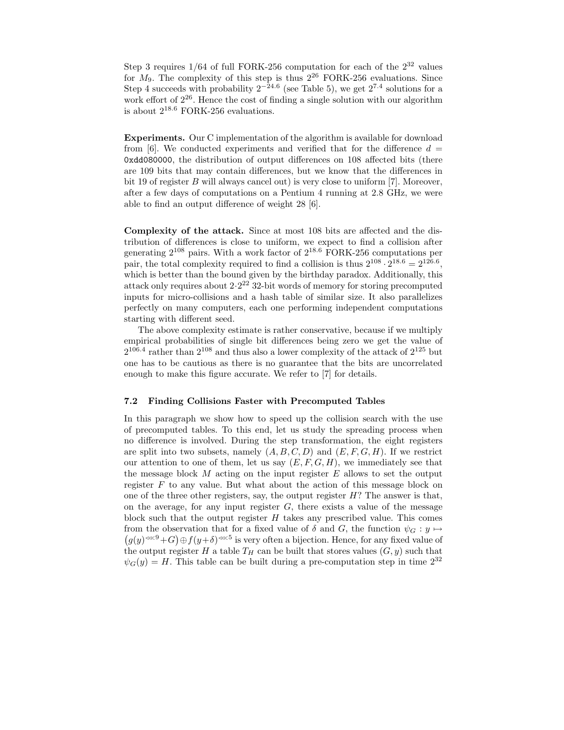Step 3 requires  $1/64$  of full FORK-256 computation for each of the  $2^{32}$  values for  $M_9$ . The complexity of this step is thus  $2^{26}$  FORK-256 evaluations. Since Step 4 succeeds with probability  $2^{-24.6}$  (see Table 5), we get  $2^{7.4}$  solutions for a work effort of  $2^{26}$ . Hence the cost of finding a single solution with our algorithm is about  $2^{18.6}$  FORK-256 evaluations.

Experiments. Our C implementation of the algorithm is available for download from [6]. We conducted experiments and verified that for the difference  $d =$ 0xdd080000, the distribution of output differences on 108 affected bits (there are 109 bits that may contain differences, but we know that the differences in bit 19 of register  $B$  will always cancel out) is very close to uniform [7]. Moreover, after a few days of computations on a Pentium 4 running at 2.8 GHz, we were able to find an output difference of weight 28 [6].

Complexity of the attack. Since at most 108 bits are affected and the distribution of differences is close to uniform, we expect to find a collision after generating  $2^{108}$  pairs. With a work factor of  $2^{18.6}$  FORK-256 computations per pair, the total complexity required to find a collision is thus  $2^{108} \cdot 2^{18.6} = 2^{126.6}$ , which is better than the bound given by the birthday paradox. Additionally, this attack only requires about  $2 \cdot 2^{22}$  32-bit words of memory for storing precomputed inputs for micro-collisions and a hash table of similar size. It also parallelizes perfectly on many computers, each one performing independent computations starting with different seed.

The above complexity estimate is rather conservative, because if we multiply empirical probabilities of single bit differences being zero we get the value of  $2^{106.4}$  rather than  $2^{108}$  and thus also a lower complexity of the attack of  $2^{125}$  but one has to be cautious as there is no guarantee that the bits are uncorrelated enough to make this figure accurate. We refer to [7] for details.

#### 7.2 Finding Collisions Faster with Precomputed Tables

In this paragraph we show how to speed up the collision search with the use of precomputed tables. To this end, let us study the spreading process when no difference is involved. During the step transformation, the eight registers are split into two subsets, namely  $(A, B, C, D)$  and  $(E, F, G, H)$ . If we restrict our attention to one of them, let us say  $(E, F, G, H)$ , we immediately see that the message block  $M$  acting on the input register  $E$  allows to set the output register  $F$  to any value. But what about the action of this message block on one of the three other registers, say, the output register  $H$ ? The answer is that, on the average, for any input register  $G$ , there exists a value of the message block such that the output register  $H$  takes any prescribed value. This comes  $(g(y)^{\lll 9}+G)\oplus f(y+\delta)^{\lll 5}$  is very often a bijection. Hence, for any fixed value of from the observation that for a fixed value of  $\delta$  and  $G$ , the function  $\psi_G: y \mapsto$ the output register H a table  $T_H$  can be built that stores values  $(G, y)$  such that  $\psi_G(y) = H$ . This table can be built during a pre-computation step in time  $2^{32}$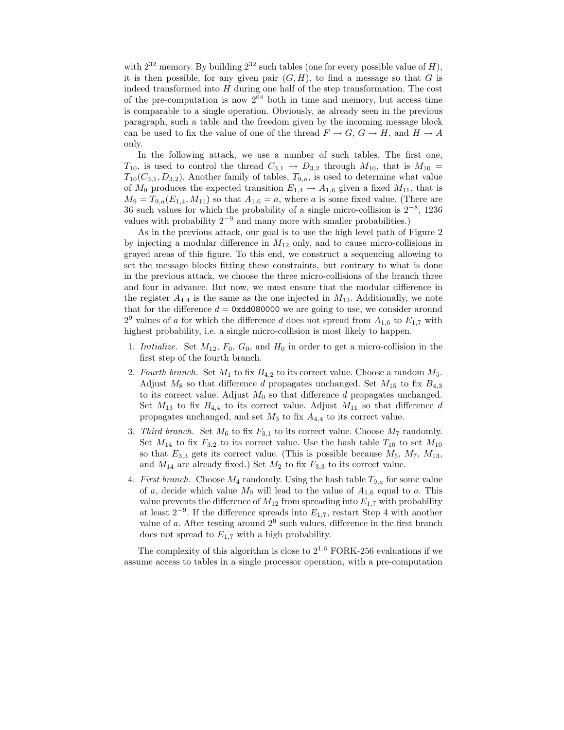with  $2^{32}$  memory. By building  $2^{32}$  such tables (one for every possible value of H), it is then possible, for any given pair  $(G, H)$ , to find a message so that G is indeed transformed into  $H$  during one half of the step transformation. The cost of the pre-computation is now  $2^{64}$  both in time and memory, but access time is comparable to a single operation. Obviously, as already seen in the previous paragraph, such a table and the freedom given by the incoming message block can be used to fix the value of one of the thread  $F \to G$ ,  $G \to H$ , and  $H \to A$ only.

In the following attack, we use a number of such tables. The first one,  $T_{10}$ , is used to control the thread  $C_{3,1} \rightarrow D_{3,2}$  through  $M_{10}$ , that is  $M_{10} =$  $T_{10}(C_{3,1},D_{3,2})$ . Another family of tables,  $T_{9,a}$ , is used to determine what value of  $M_9$  produces the expected transition  $E_{1,4} \rightarrow A_{1,6}$  given a fixed  $M_{11}$ , that is  $M_9 = T_{9,a}(E_{1,4},M_{11})$  so that  $A_{1,6} = a$ , where a is some fixed value. (There are 36 such values for which the probability of a single micro-collision is 2−<sup>8</sup> , 1236 values with probability  $2^{-9}$  and many more with smaller probabilities.)

As in the previous attack, our goal is to use the high level path of Figure 2 by injecting a modular difference in  $M_{12}$  only, and to cause micro-collisions in grayed areas of this figure. To this end, we construct a sequencing allowing to set the message blocks fitting these constraints, but contrary to what is done in the previous attack, we choose the three micro-collisions of the branch three and four in advance. But now, we must ensure that the modular difference in the register  $A_{4,4}$  is the same as the one injected in  $M_{12}$ . Additionally, we note that for the difference  $d = 0x\ddot{\theta}x$  over are going to use, we consider around  $2^9$  values of a for which the difference d does not spread from  $A_{1,6}$  to  $E_{1,7}$  with highest probability, i.e. a single micro-collision is most likely to happen.

- 1. Initialize. Set  $M_{12}$ ,  $F_0$ ,  $G_0$ , and  $H_0$  in order to get a micro-collision in the first step of the fourth branch.
- 2. Fourth branch. Set  $M_1$  to fix  $B_{4,2}$  to its correct value. Choose a random  $M_5$ . Adjust  $M_8$  so that difference d propagates unchanged. Set  $M_{15}$  to fix  $B_{4,3}$ to its correct value. Adjust  $M_0$  so that difference  $d$  propagates unchanged. Set  $M_{13}$  to fix  $B_{4,4}$  to its correct value. Adjust  $M_{11}$  so that difference d propagates unchanged, and set  $M_3$  to fix  $A_{4,4}$  to its correct value.
- 3. Third branch. Set  $M_6$  to fix  $F_{3,1}$  to its correct value. Choose  $M_7$  randomly. Set  $M_{14}$  to fix  $F_{3,2}$  to its correct value. Use the hash table  $T_{10}$  to set  $M_{10}$ so that  $E_{3,3}$  gets its correct value. (This is possible because  $M_5$ ,  $M_7$ ,  $M_{13}$ , and  $M_{14}$  are already fixed.) Set  $M_2$  to fix  $F_{3,3}$  to its correct value.
- 4. First branch. Choose  $M_4$  randomly. Using the hash table  $T_{9,a}$  for some value of a, decide which value  $M_9$  will lead to the value of  $A_{1,6}$  equal to a. This value prevents the difference of  $M_{12}$  from spreading into  $E_{1,7}$  with probability at least  $2^{-9}$ . If the difference spreads into  $E_{1,7}$ , restart Step 4 with another value of  $a$ . After testing around  $2<sup>9</sup>$  such values, difference in the first branch does not spread to  $E_{1,7}$  with a high probability.

The complexity of this algorithm is close to  $2^{1.6}$  FORK-256 evaluations if we assume access to tables in a single processor operation, with a pre-computation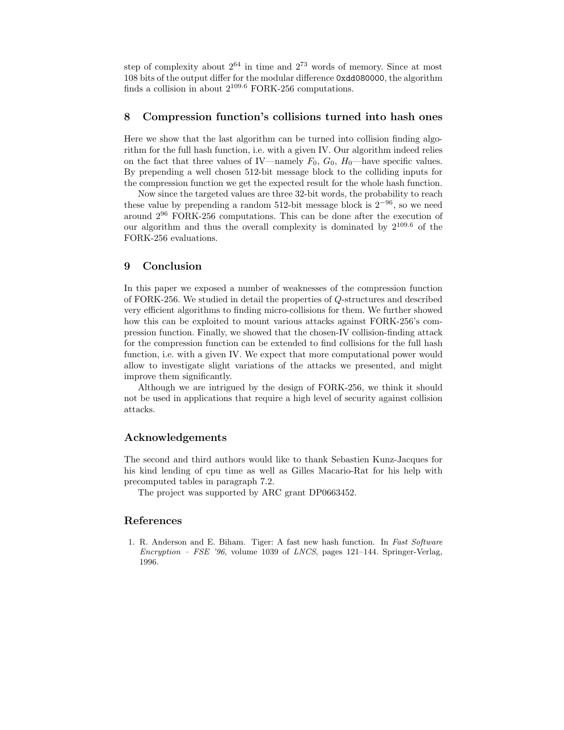step of complexity about  $2^{64}$  in time and  $2^{73}$  words of memory. Since at most 108 bits of the output differ for the modular difference 0xdd080000, the algorithm finds a collision in about  $2^{109.6}$  FORK-256 computations.

# 8 Compression function's collisions turned into hash ones

Here we show that the last algorithm can be turned into collision finding algorithm for the full hash function, i.e. with a given IV. Our algorithm indeed relies on the fact that three values of IV—namely  $F_0$ ,  $G_0$ ,  $H_0$ —have specific values. By prepending a well chosen 512-bit message block to the colliding inputs for the compression function we get the expected result for the whole hash function.

Now since the targeted values are three 32-bit words, the probability to reach these value by prepending a random 512-bit message block is  $2^{-96}$ , so we need around 2<sup>96</sup> FORK-256 computations. This can be done after the execution of our algorithm and thus the overall complexity is dominated by  $2^{109.6}$  of the FORK-256 evaluations.

## 9 Conclusion

In this paper we exposed a number of weaknesses of the compression function of FORK-256. We studied in detail the properties of Q-structures and described very efficient algorithms to finding micro-collisions for them. We further showed how this can be exploited to mount various attacks against FORK-256's compression function. Finally, we showed that the chosen-IV collision-finding attack for the compression function can be extended to find collisions for the full hash function, i.e. with a given IV. We expect that more computational power would allow to investigate slight variations of the attacks we presented, and might improve them significantly.

Although we are intrigued by the design of FORK-256, we think it should not be used in applications that require a high level of security against collision attacks.

### Acknowledgements

The second and third authors would like to thank Sebastien Kunz-Jacques for his kind lending of cpu time as well as Gilles Macario-Rat for his help with precomputed tables in paragraph 7.2.

The project was supported by ARC grant DP0663452.

### References

1. R. Anderson and E. Biham. Tiger: A fast new hash function. In Fast Software Encryption – FSE '96, volume 1039 of LNCS, pages 121–144. Springer-Verlag, 1996.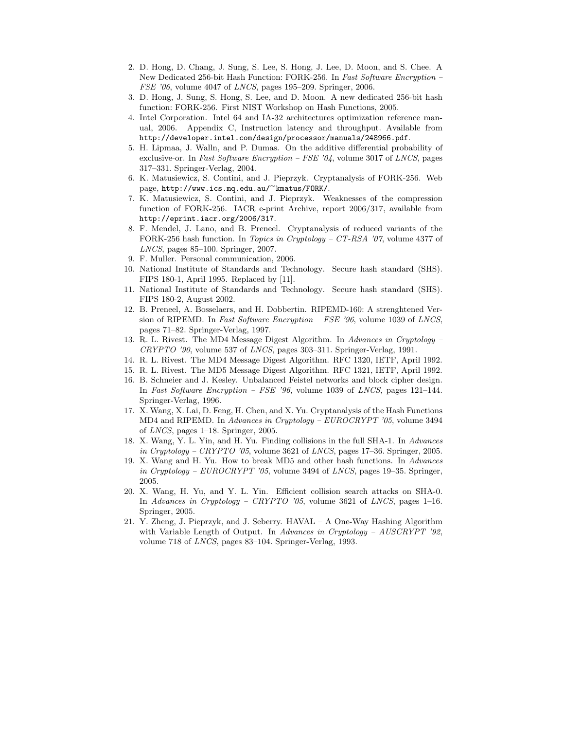- 2. D. Hong, D. Chang, J. Sung, S. Lee, S. Hong, J. Lee, D. Moon, and S. Chee. A New Dedicated 256-bit Hash Function: FORK-256. In Fast Software Encryption – FSE '06, volume 4047 of LNCS, pages 195–209. Springer, 2006.
- 3. D. Hong, J. Sung, S. Hong, S. Lee, and D. Moon. A new dedicated 256-bit hash function: FORK-256. First NIST Workshop on Hash Functions, 2005.
- 4. Intel Corporation. Intel 64 and IA-32 architectures optimization reference manual, 2006. Appendix C, Instruction latency and throughput. Available from http://developer.intel.com/design/processor/manuals/248966.pdf.
- 5. H. Lipmaa, J. Walln, and P. Dumas. On the additive differential probability of exclusive-or. In Fast Software Encryption – FSE  $'04$ , volume 3017 of LNCS, pages 317–331. Springer-Verlag, 2004.
- 6. K. Matusiewicz, S. Contini, and J. Pieprzyk. Cryptanalysis of FORK-256. Web page, http://www.ics.mq.edu.au/<sup>∼</sup>kmatus/FORK/.
- 7. K. Matusiewicz, S. Contini, and J. Pieprzyk. Weaknesses of the compression function of FORK-256. IACR e-print Archive, report 2006/317, available from http://eprint.iacr.org/2006/317.
- 8. F. Mendel, J. Lano, and B. Preneel. Cryptanalysis of reduced variants of the FORK-256 hash function. In Topics in Cryptology – CT-RSA '07, volume 4377 of LNCS, pages 85–100. Springer, 2007.
- 9. F. Muller. Personal communication, 2006.
- 10. National Institute of Standards and Technology. Secure hash standard (SHS). FIPS 180-1, April 1995. Replaced by [11].
- 11. National Institute of Standards and Technology. Secure hash standard (SHS). FIPS 180-2, August 2002.
- 12. B. Preneel, A. Bosselaers, and H. Dobbertin. RIPEMD-160: A strenghtened Version of RIPEMD. In Fast Software Encryption - FSE '96, volume 1039 of LNCS, pages 71–82. Springer-Verlag, 1997.
- 13. R. L. Rivest. The MD4 Message Digest Algorithm. In Advances in Cryptology CRYPTO '90, volume 537 of LNCS, pages 303–311. Springer-Verlag, 1991.
- 14. R. L. Rivest. The MD4 Message Digest Algorithm. RFC 1320, IETF, April 1992.
- 15. R. L. Rivest. The MD5 Message Digest Algorithm. RFC 1321, IETF, April 1992.
- 16. B. Schneier and J. Kesley. Unbalanced Feistel networks and block cipher design. In Fast Software Encryption – FSE '96, volume 1039 of LNCS, pages 121–144. Springer-Verlag, 1996.
- 17. X. Wang, X. Lai, D. Feng, H. Chen, and X. Yu. Cryptanalysis of the Hash Functions MD4 and RIPEMD. In Advances in Cryptology – EUROCRYPT '05, volume 3494 of LNCS, pages 1–18. Springer, 2005.
- 18. X. Wang, Y. L. Yin, and H. Yu. Finding collisions in the full SHA-1. In Advances in Cryptology – CRYPTO '05, volume 3621 of LNCS, pages 17–36. Springer, 2005.
- 19. X. Wang and H. Yu. How to break MD5 and other hash functions. In Advances in Cryptology –  $EUROCRYPT$  '05, volume 3494 of LNCS, pages 19–35. Springer, 2005.
- 20. X. Wang, H. Yu, and Y. L. Yin. Efficient collision search attacks on SHA-0. In Advances in Cryptology – CRYPTO '05, volume 3621 of LNCS, pages 1–16. Springer, 2005.
- 21. Y. Zheng, J. Pieprzyk, and J. Seberry. HAVAL A One-Way Hashing Algorithm with Variable Length of Output. In Advances in Cryptology –  $AUSCRYPT$  '92, volume 718 of LNCS, pages 83–104. Springer-Verlag, 1993.